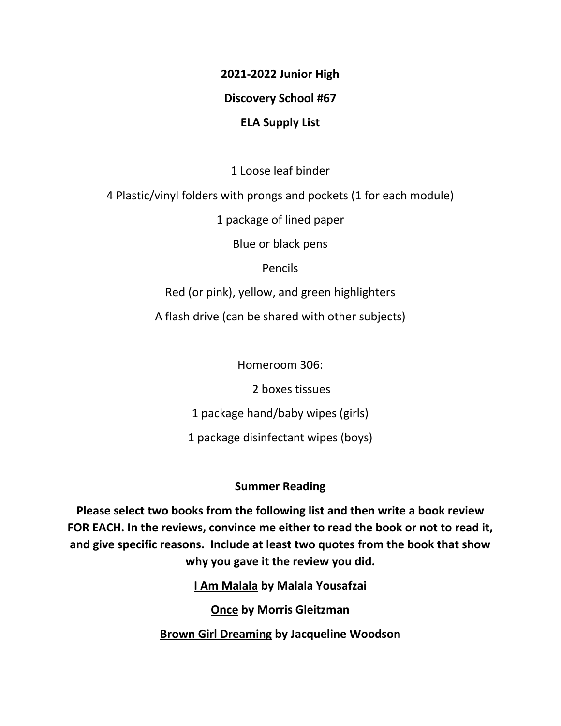## **2021-2022 Junior High**

## **Discovery School #67**

## **ELA Supply List**

1 Loose leaf binder

4 Plastic/vinyl folders with prongs and pockets (1 for each module)

1 package of lined paper

Blue or black pens

Pencils

Red (or pink), yellow, and green highlighters

A flash drive (can be shared with other subjects)

Homeroom 306:

2 boxes tissues

1 package hand/baby wipes (girls)

1 package disinfectant wipes (boys)

## **Summer Reading**

**Please select two books from the following list and then write a book review FOR EACH. In the reviews, convince me either to read the book or not to read it, and give specific reasons. Include at least two quotes from the book that show why you gave it the review you did.**

**I Am Malala by Malala Yousafzai**

**Once by Morris Gleitzman**

**Brown Girl Dreaming by Jacqueline Woodson**